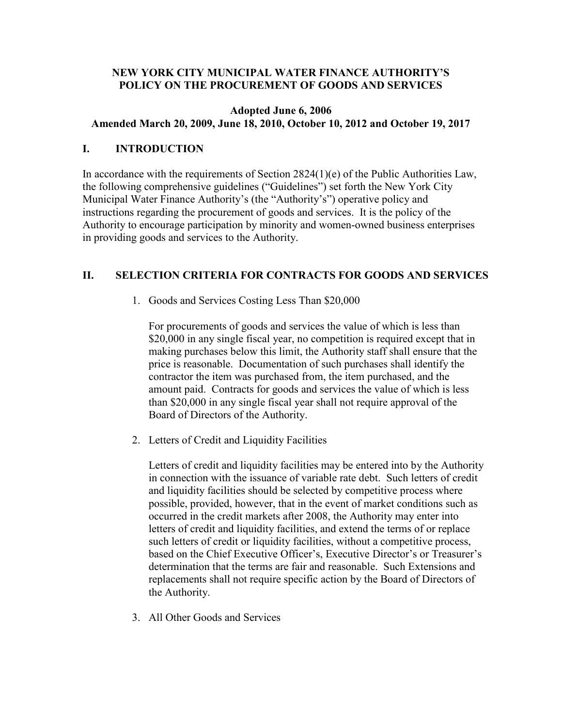### **NEW YORK CITY MUNICIPAL WATER FINANCE AUTHORITY'S POLICY ON THE PROCUREMENT OF GOODS AND SERVICES**

### **Adopted June 6, 2006 Amended March 20, 2009, June 18, 2010, October 10, 2012 and October 19, 2017**

## **I. INTRODUCTION**

In accordance with the requirements of Section  $2824(1)(e)$  of the Public Authorities Law, the following comprehensive guidelines ("Guidelines") set forth the New York City Municipal Water Finance Authority's (the "Authority's") operative policy and instructions regarding the procurement of goods and services. It is the policy of the Authority to encourage participation by minority and women-owned business enterprises in providing goods and services to the Authority.

# **II. SELECTION CRITERIA FOR CONTRACTS FOR GOODS AND SERVICES**

1. Goods and Services Costing Less Than \$20,000

For procurements of goods and services the value of which is less than \$20,000 in any single fiscal year, no competition is required except that in making purchases below this limit, the Authority staff shall ensure that the price is reasonable. Documentation of such purchases shall identify the contractor the item was purchased from, the item purchased, and the amount paid. Contracts for goods and services the value of which is less than \$20,000 in any single fiscal year shall not require approval of the Board of Directors of the Authority.

2. Letters of Credit and Liquidity Facilities

Letters of credit and liquidity facilities may be entered into by the Authority in connection with the issuance of variable rate debt. Such letters of credit and liquidity facilities should be selected by competitive process where possible, provided, however, that in the event of market conditions such as occurred in the credit markets after 2008, the Authority may enter into letters of credit and liquidity facilities, and extend the terms of or replace such letters of credit or liquidity facilities, without a competitive process, based on the Chief Executive Officer's, Executive Director's or Treasurer's determination that the terms are fair and reasonable. Such Extensions and replacements shall not require specific action by the Board of Directors of the Authority.

3. All Other Goods and Services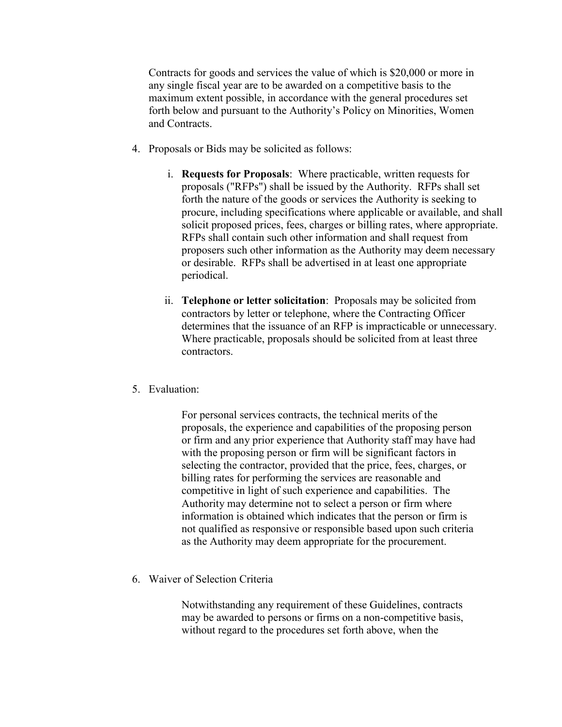Contracts for goods and services the value of which is \$20,000 or more in any single fiscal year are to be awarded on a competitive basis to the maximum extent possible, in accordance with the general procedures set forth below and pursuant to the Authority's Policy on Minorities, Women and Contracts.

- 4. Proposals or Bids may be solicited as follows:
	- i. **Requests for Proposals**: Where practicable, written requests for proposals ("RFPs") shall be issued by the Authority. RFPs shall set forth the nature of the goods or services the Authority is seeking to procure, including specifications where applicable or available, and shall solicit proposed prices, fees, charges or billing rates, where appropriate. RFPs shall contain such other information and shall request from proposers such other information as the Authority may deem necessary or desirable. RFPs shall be advertised in at least one appropriate periodical.
	- ii. **Telephone or letter solicitation**: Proposals may be solicited from contractors by letter or telephone, where the Contracting Officer determines that the issuance of an RFP is impracticable or unnecessary. Where practicable, proposals should be solicited from at least three contractors.
- 5. Evaluation:

For personal services contracts, the technical merits of the proposals, the experience and capabilities of the proposing person or firm and any prior experience that Authority staff may have had with the proposing person or firm will be significant factors in selecting the contractor, provided that the price, fees, charges, or billing rates for performing the services are reasonable and competitive in light of such experience and capabilities. The Authority may determine not to select a person or firm where information is obtained which indicates that the person or firm is not qualified as responsive or responsible based upon such criteria as the Authority may deem appropriate for the procurement.

6. Waiver of Selection Criteria

Notwithstanding any requirement of these Guidelines, contracts may be awarded to persons or firms on a non-competitive basis, without regard to the procedures set forth above, when the